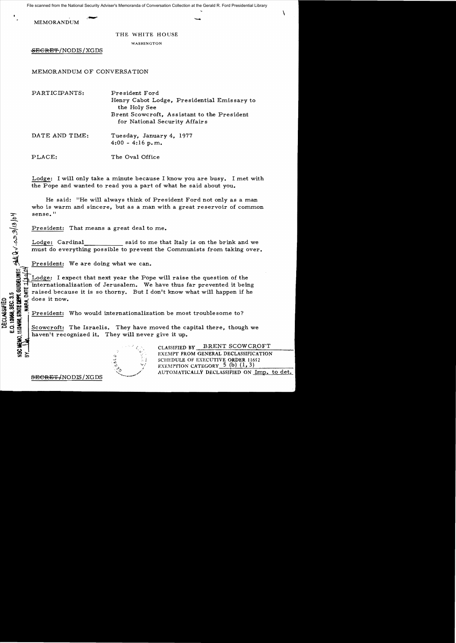MEMORANDUM

## THE WHITE HOUSE

WASHINGTON

SECRET/NODIS/XGDS

## MEMORANDUM OF CONVERSATION

| PARTICIPANTS:  | President Ford<br>Henry Cabot Lodge, Presidential Emissary to<br>the Holy See |
|----------------|-------------------------------------------------------------------------------|
|                | Brent Scowcroft, Assistant to the President<br>for National Security Affairs  |
| DATE AND TIME: | Tuesday, January 4, 1977<br>$4:00 - 4:16$ p.m.                                |
| PLACE:         | The Oval Office                                                               |

Lodge: I will only take a minute because I know you are busy. I met with the Pope and wanted to read you a part of what he said about you.

He said: "He will always think of President Ford not only as a man who is warm and sincere, but as a man with a great reservoir of common sense."

President: That means a great deal to me.

Lodge: Cardinal said to me that Italy is on the brink and we must do everything possible to prevent the Communists from taking over.

President: We are doing what we can.<br>
<u>Lodge</u>: I expect that next year the Pop<br>
internationalization of Jerusalem. We<br>
graised because it is so thorny. But I<br>
does it now. Lodge: I expect that next year the Pope will raise the question of the  $\frac{1}{2}$  internationalization of Jerusalem. We have thus far prevented it being LO C'E cause it is so thorny. But I don't know what will happen if he<br>  $\frac{1}{2}$  does it now.<br>  $\frac{1}{2}$  does it now.<br>  $\frac{1}{2}$   $\frac{1}{2}$   $\frac{1}{2}$   $\frac{1}{2}$   $\frac{1}{2}$   $\frac{1}{2}$   $\frac{1}{2}$   $\frac{1}{2}$   $\frac{1}{2}$   $\frac{1}{2}$   $\$ co:<br> $\frac{1}{2}$  .  $\frac{1}{2}$  .  $\frac{1}{2}$  does it now.

 $\frac{1}{2}$   $\frac{1}{2}$   $\frac{1}{2}$   $\frac{1}{2}$   $\frac{1}{2}$   $\frac{1}{2}$   $\frac{1}{2}$   $\frac{1}{2}$   $\frac{1}{2}$   $\frac{1}{2}$   $\frac{1}{2}$   $\frac{1}{2}$   $\frac{1}{2}$   $\frac{1}{2}$   $\frac{1}{2}$   $\frac{1}{2}$   $\frac{1}{2}$   $\frac{1}{2}$   $\frac{1}{2}$   $\frac{1}{2}$   $\frac{1}{2}$   $\frac{1}{2}$ 

Scowcroft: The Israelis. They have moved the capital there, though we haven't recognized it. They will never give it up.



CLASSIFIED BY BRENT SCOWCROFT EXEMPT FROM GENERAL DECLASSIFICATION SCHEDULE OF EXECUTIVE ORDER 11652<br>EXEMPTION CATEGORY\_5 (b) (1, 3)<br>AUTOMATICALLY DECLASSIFIED ON <u>Imp. to det.</u>

 $\frac{1}{2}$ 

*cs* 

E) IMES

 $\frac{1}{2}$   $\frac{3}{2}$   $\frac{3}{2}$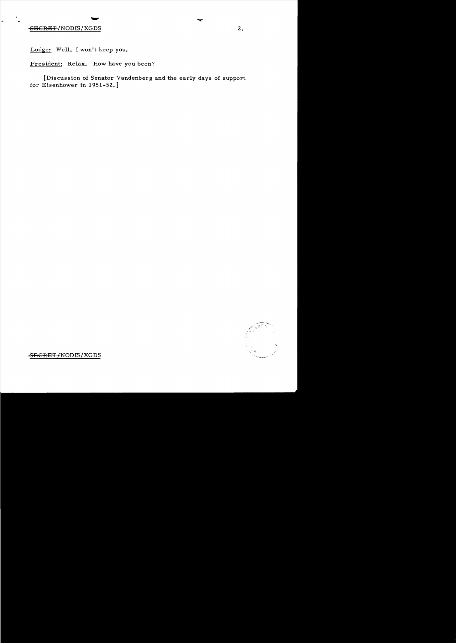## SECRET/NODIS/XGDS 2.

Lodge: Well, I won't keep you.

President: Relax. How have you been?

[Discussion of Senator Vandenberg and the early days of support for Eisenhower in 1951-52.]



 $-$ SECRET/NODIS/XGDS